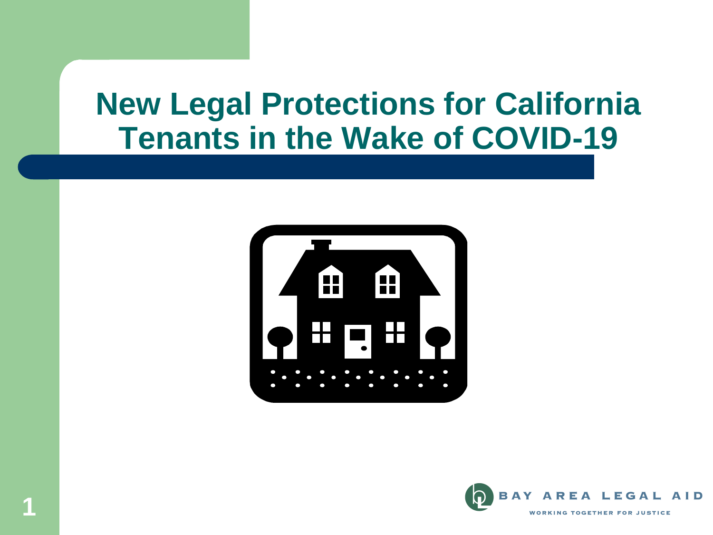#### **New Legal Protections for California Tenants in the Wake of COVID-19**



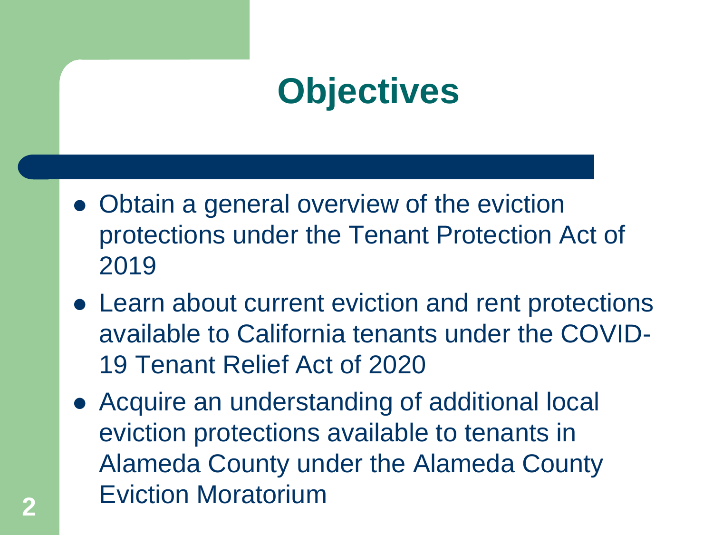### **Objectives**

- Obtain a general overview of the eviction protections under the Tenant Protection Act of 2019
- Learn about current eviction and rent protections available to California tenants under the COVID-19 Tenant Relief Act of 2020
- Acquire an understanding of additional local eviction protections available to tenants in Alameda County under the Alameda County Eviction Moratorium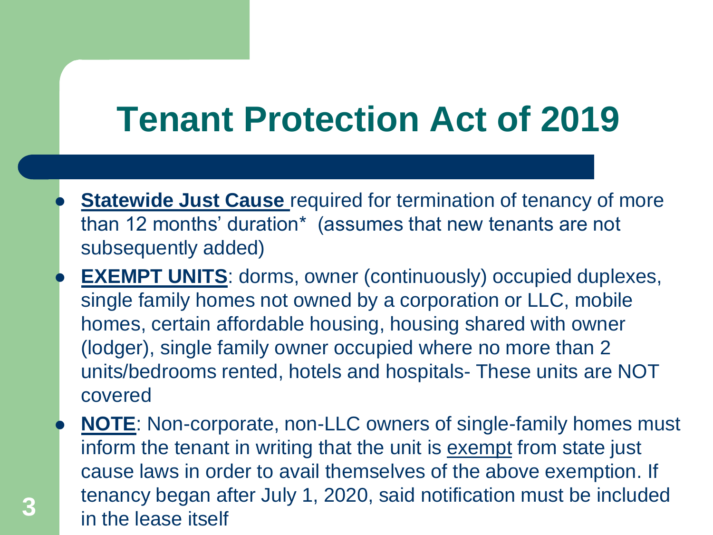## **Tenant Protection Act of 2019**

- **Statewide Just Cause** required for termination of tenancy of more than 12 months' duration\* (assumes that new tenants are not subsequently added)
- **EXEMPT UNITS:** dorms, owner (continuously) occupied duplexes, single family homes not owned by a corporation or LLC, mobile homes, certain affordable housing, housing shared with owner (lodger), single family owner occupied where no more than 2 units/bedrooms rented, hotels and hospitals- These units are NOT covered
- **NOTE**: Non-corporate, non-LLC owners of single-family homes must inform the tenant in writing that the unit is **exempt** from state just cause laws in order to avail themselves of the above exemption. If tenancy began after July 1, 2020, said notification must be included in the lease itself **3**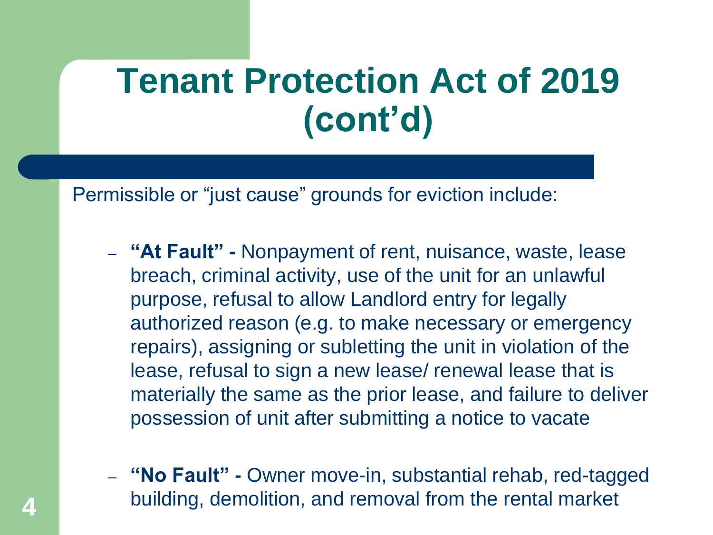### **Tenant Protection Act of 2019 (cont'd)**

Permissible or "just cause" grounds for eviction include:

- **"At Fault" -** Nonpayment of rent, nuisance, waste, lease breach, criminal activity, use of the unit for an unlawful purpose, refusal to allow Landlord entry for legally authorized reason (e.g. to make necessary or emergency repairs), assigning or subletting the unit in violation of the lease, refusal to sign a new lease/ renewal lease that is materially the same as the prior lease, and failure to deliver possession of unit after submitting a notice to vacate
- **"No Fault" -** Owner move-in, substantial rehab, red-tagged building, demolition, and removal from the rental market **4**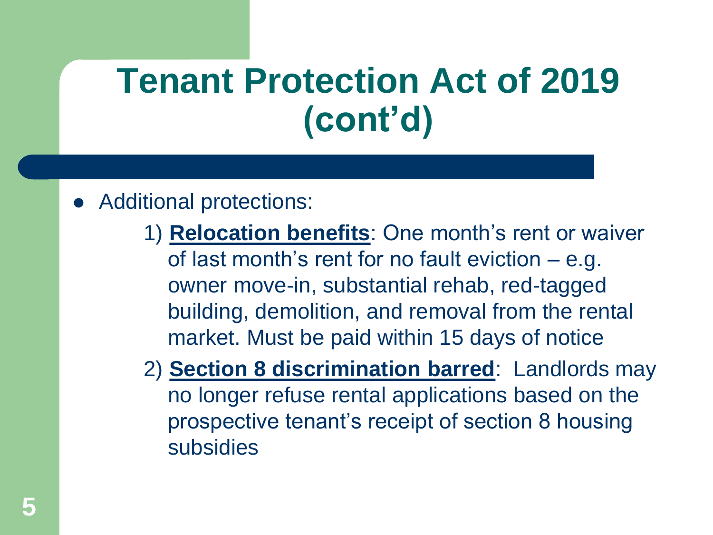## **Tenant Protection Act of 2019 (cont'd)**

#### Additional protections:

- 1) **Relocation benefits**: One month's rent or waiver of last month's rent for no fault eviction – e.g. owner move-in, substantial rehab, red-tagged building, demolition, and removal from the rental market. Must be paid within 15 days of notice
- 2) **Section 8 discrimination barred**: Landlords may no longer refuse rental applications based on the prospective tenant's receipt of section 8 housing subsidies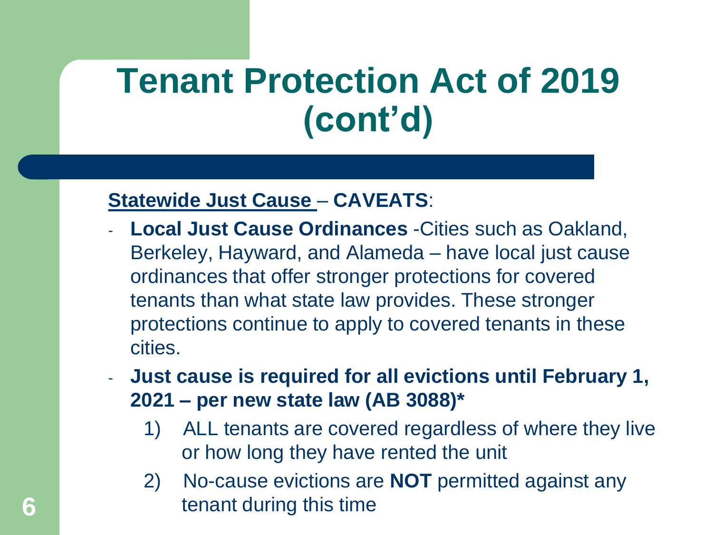## **Tenant Protection Act of 2019 (cont'd)**

#### **Statewide Just Cause** – **CAVEATS**:

- **Local Just Cause Ordinances** -Cities such as Oakland, Berkeley, Hayward, and Alameda – have local just cause ordinances that offer stronger protections for covered tenants than what state law provides. These stronger protections continue to apply to covered tenants in these cities.
- **Just cause is required for all evictions until February 1, 2021 – per new state law (AB 3088)\***
	- 1) ALL tenants are covered regardless of where they live or how long they have rented the unit
- 2) No-cause evictions are **NOT** permitted against any **6 fract fract fract fract fract fract fract fract fract f**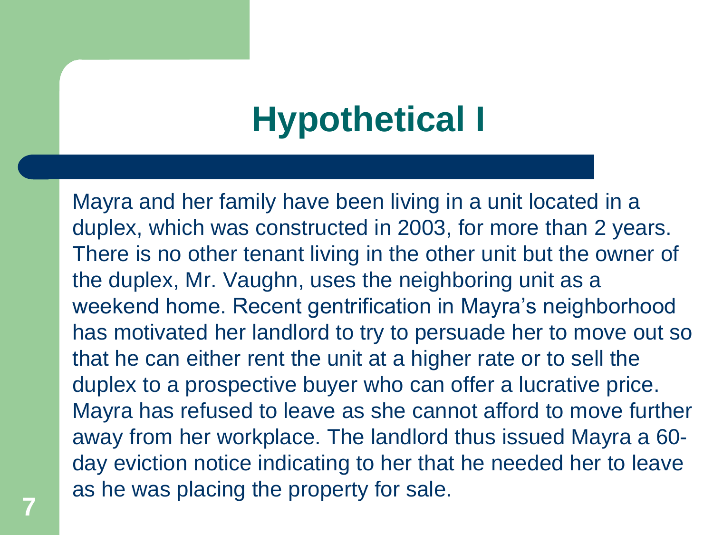## **Hypothetical I**

Mayra and her family have been living in a unit located in a duplex, which was constructed in 2003, for more than 2 years. There is no other tenant living in the other unit but the owner of the duplex, Mr. Vaughn, uses the neighboring unit as a weekend home. Recent gentrification in Mayra's neighborhood has motivated her landlord to try to persuade her to move out so that he can either rent the unit at a higher rate or to sell the duplex to a prospective buyer who can offer a lucrative price. Mayra has refused to leave as she cannot afford to move further away from her workplace. The landlord thus issued Mayra a 60 day eviction notice indicating to her that he needed her to leave as he was placing the property for sale.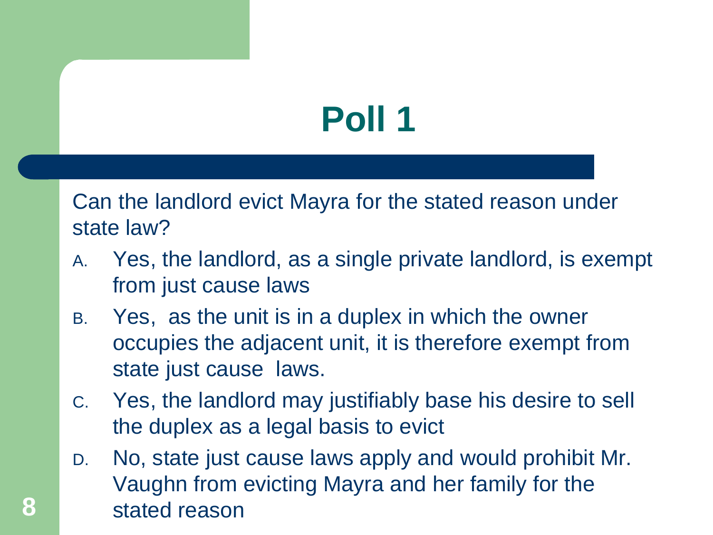# **Poll 1**

Can the landlord evict Mayra for the stated reason under state law?

- A. Yes, the landlord, as a single private landlord, is exempt from just cause laws
- B. Yes, as the unit is in a duplex in which the owner occupies the adjacent unit, it is therefore exempt from state just cause laws.
- C. Yes, the landlord may justifiably base his desire to sell the duplex as a legal basis to evict
- D. No, state just cause laws apply and would prohibit Mr. Vaughn from evicting Mayra and her family for the 8 **8** stated reason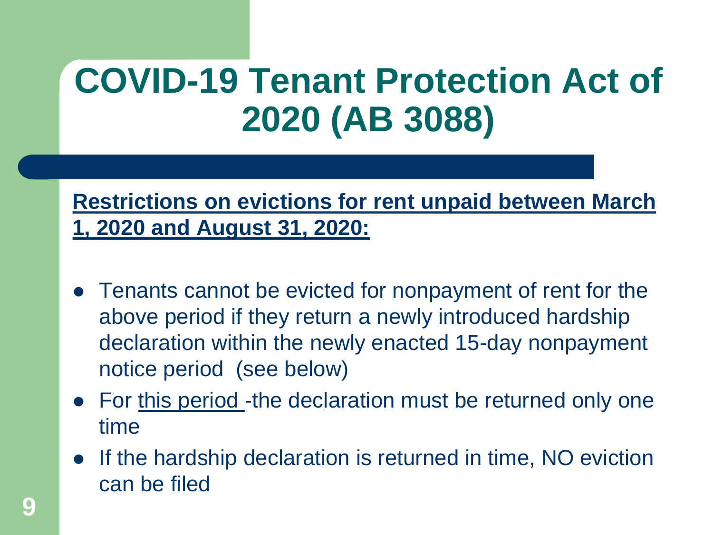#### **Restrictions on evictions for rent unpaid between March 1, 2020 and August 31, 2020:**

- Tenants cannot be evicted for nonpayment of rent for the above period if they return a newly introduced hardship declaration within the newly enacted 15-day nonpayment notice period (see below)
- For this period -the declaration must be returned only one time
- If the hardship declaration is returned in time, NO eviction can be filed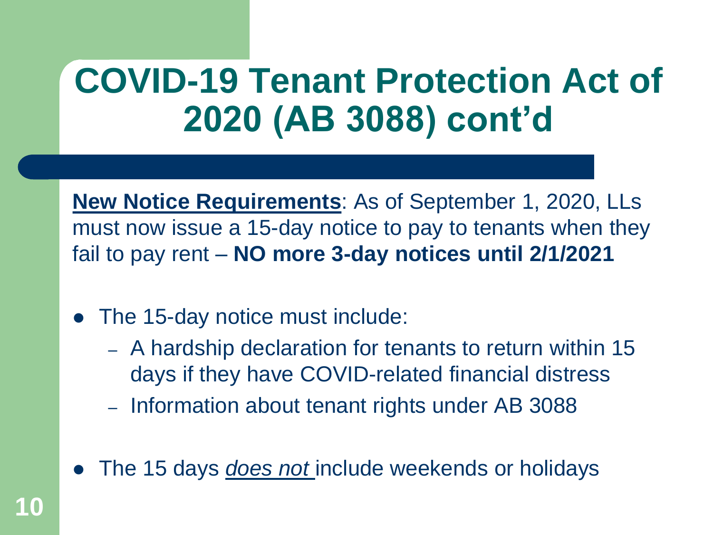**New Notice Requirements**: As of September 1, 2020, LLs must now issue a 15-day notice to pay to tenants when they fail to pay rent – **NO more 3-day notices until 2/1/2021**

- The 15-day notice must include:
	- A hardship declaration for tenants to return within 15 days if they have COVID-related financial distress
	- Information about tenant rights under AB 3088
- The 15 days *does not* include weekends or holidays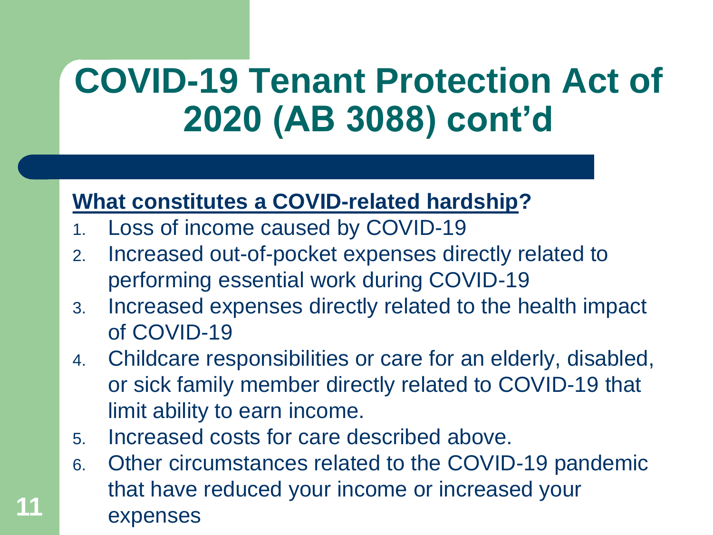#### **What constitutes a COVID-related hardship?**

- 1. Loss of income caused by COVID-19
- 2. Increased out-of-pocket expenses directly related to performing essential work during COVID-19
- 3. Increased expenses directly related to the health impact of COVID-19
- 4. Childcare responsibilities or care for an elderly, disabled, or sick family member directly related to COVID-19 that limit ability to earn income.
- 5. Increased costs for care described above.
- 6. Other circumstances related to the COVID-19 pandemic that have reduced your income or increased your expenses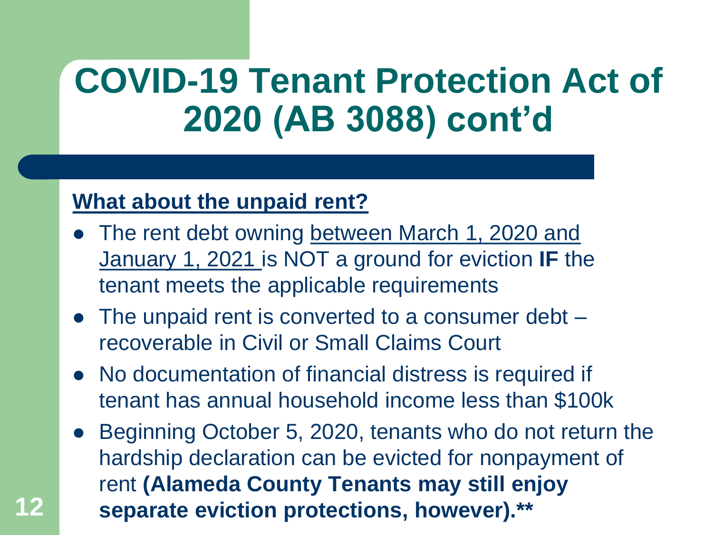#### **What about the unpaid rent?**

- The rent debt owning between March 1, 2020 and January 1, 2021 is NOT a ground for eviction **IF** the tenant meets the applicable requirements
- The unpaid rent is converted to a consumer debt recoverable in Civil or Small Claims Court
- No documentation of financial distress is required if tenant has annual household income less than \$100k
- Beginning October 5, 2020, tenants who do not return the hardship declaration can be evicted for nonpayment of rent **(Alameda County Tenants may still enjoy 12 separate eviction protections, however).\*\***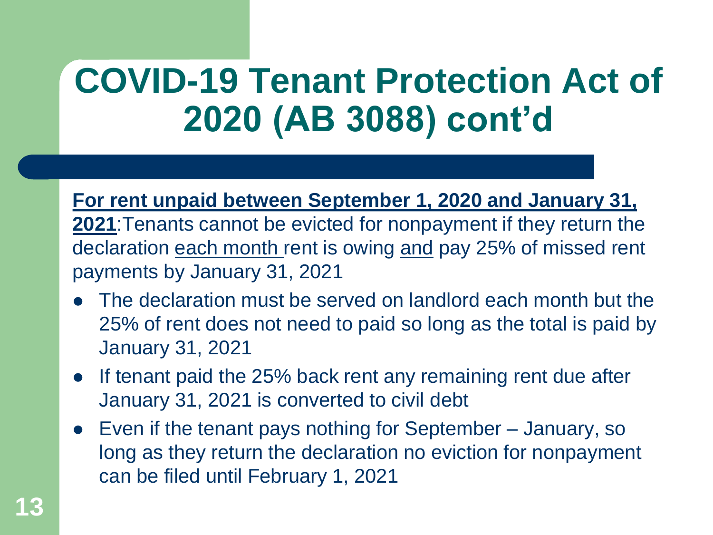**For rent unpaid between September 1, 2020 and January 31,** 

**2021**:Tenants cannot be evicted for nonpayment if they return the declaration each month rent is owing and pay 25% of missed rent payments by January 31, 2021

- The declaration must be served on landlord each month but the 25% of rent does not need to paid so long as the total is paid by January 31, 2021
- If tenant paid the 25% back rent any remaining rent due after January 31, 2021 is converted to civil debt
- Even if the tenant pays nothing for September January, so long as they return the declaration no eviction for nonpayment can be filed until February 1, 2021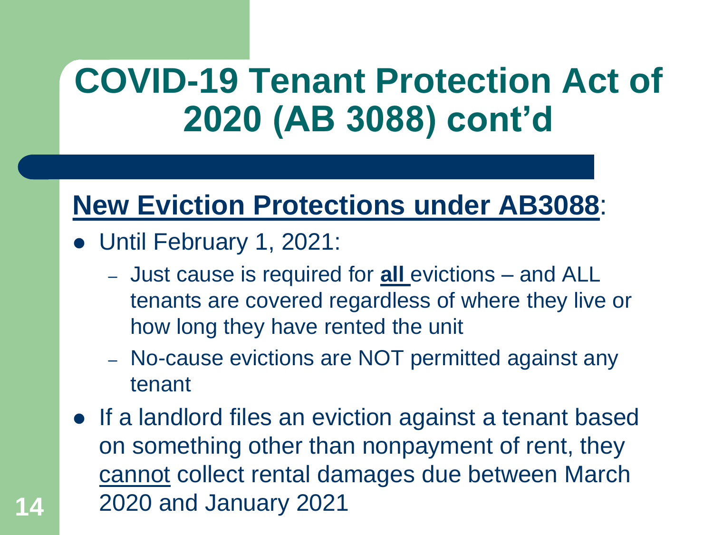#### **New Eviction Protections under AB3088**:

- Until February 1, 2021:
	- Just cause is required for **all** evictions and ALL tenants are covered regardless of where they live or how long they have rented the unit
	- No-cause evictions are NOT permitted against any tenant
- If a landlord files an eviction against a tenant based on something other than nonpayment of rent, they cannot collect rental damages due between March **14** 2020 and January 2021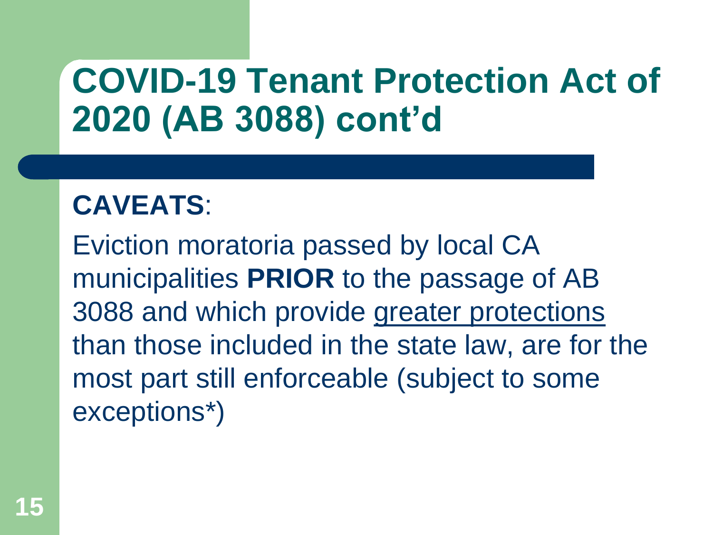#### **CAVEATS**:

Eviction moratoria passed by local CA municipalities **PRIOR** to the passage of AB 3088 and which provide greater protections than those included in the state law, are for the most part still enforceable (subject to some exceptions\*)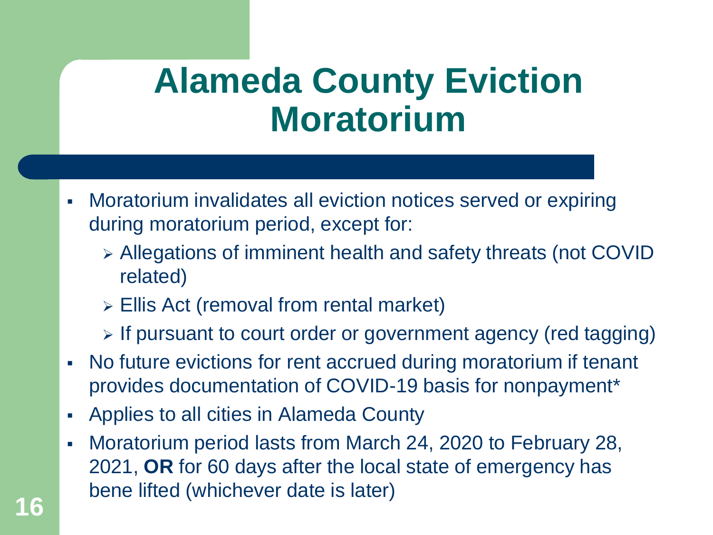#### **Alameda County Eviction Moratorium**

- Moratorium invalidates all eviction notices served or expiring during moratorium period, except for:
	- Allegations of imminent health and safety threats (not COVID related)
	- Ellis Act (removal from rental market)
	- $\triangleright$  If pursuant to court order or government agency (red tagging)
- No future evictions for rent accrued during moratorium if tenant provides documentation of COVID-19 basis for nonpayment\*
- Applies to all cities in Alameda County
- Moratorium period lasts from March 24, 2020 to February 28, 2021, **OR** for 60 days after the local state of emergency has bene lifted (whichever date is later)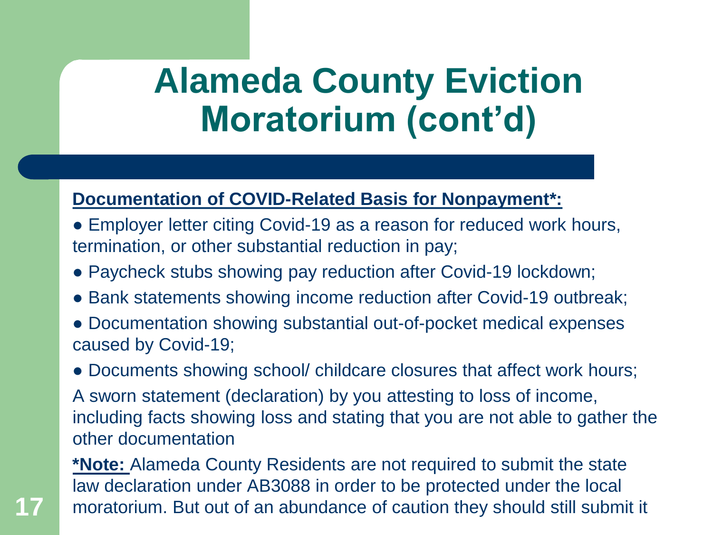#### **Alameda County Eviction Moratorium (cont'd)**

#### **Documentation of COVID-Related Basis for Nonpayment\*:**

- Employer letter citing Covid-19 as a reason for reduced work hours, termination, or other substantial reduction in pay;
- Paycheck stubs showing pay reduction after Covid-19 lockdown;
- Bank statements showing income reduction after Covid-19 outbreak;
- Documentation showing substantial out-of-pocket medical expenses caused by Covid-19;

• Documents showing school/ childcare closures that affect work hours;

A sworn statement (declaration) by you attesting to loss of income, including facts showing loss and stating that you are not able to gather the other documentation

**\*Note:** Alameda County Residents are not required to submit the state law declaration under AB3088 in order to be protected under the local **17** moratorium. But out of an abundance of caution they should still submit it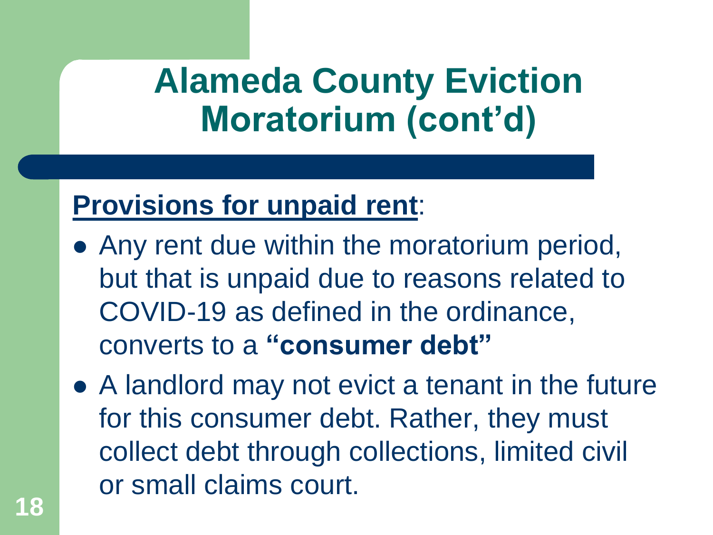### **Alameda County Eviction Moratorium (cont'd)**

#### **Provisions for unpaid rent**:

- Any rent due within the moratorium period, but that is unpaid due to reasons related to COVID-19 as defined in the ordinance, converts to a **"consumer debt"**
- A landlord may not evict a tenant in the future for this consumer debt. Rather, they must collect debt through collections, limited civil or small claims court.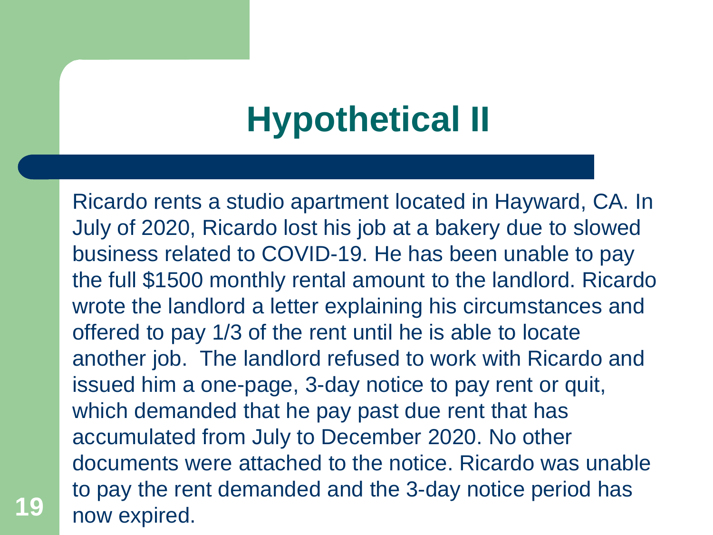## **Hypothetical II**

Ricardo rents a studio apartment located in Hayward, CA. In July of 2020, Ricardo lost his job at a bakery due to slowed business related to COVID-19. He has been unable to pay the full \$1500 monthly rental amount to the landlord. Ricardo wrote the landlord a letter explaining his circumstances and offered to pay 1/3 of the rent until he is able to locate another job. The landlord refused to work with Ricardo and issued him a one-page, 3-day notice to pay rent or quit, which demanded that he pay past due rent that has accumulated from July to December 2020. No other documents were attached to the notice. Ricardo was unable to pay the rent demanded and the 3-day notice period has now expired.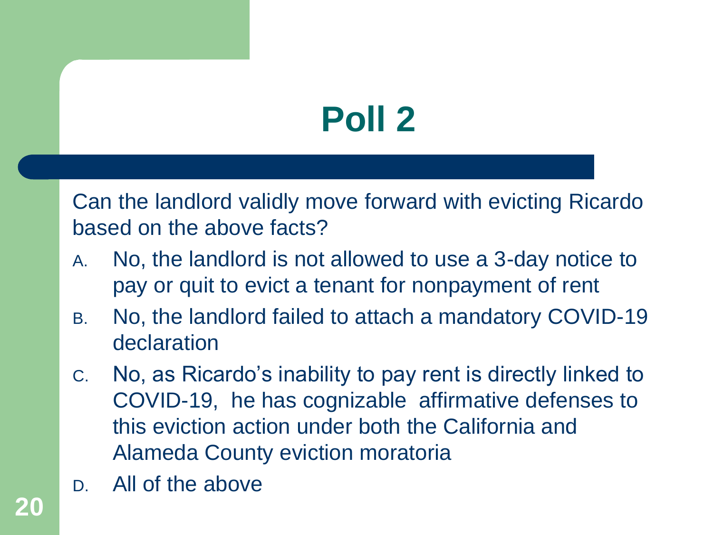# **Poll 2**

Can the landlord validly move forward with evicting Ricardo based on the above facts?

- A. No, the landlord is not allowed to use a 3-day notice to pay or quit to evict a tenant for nonpayment of rent
- B. No, the landlord failed to attach a mandatory COVID-19 declaration
- C. No, as Ricardo's inability to pay rent is directly linked to COVID-19, he has cognizable affirmative defenses to this eviction action under both the California and Alameda County eviction moratoria
- D. All of the above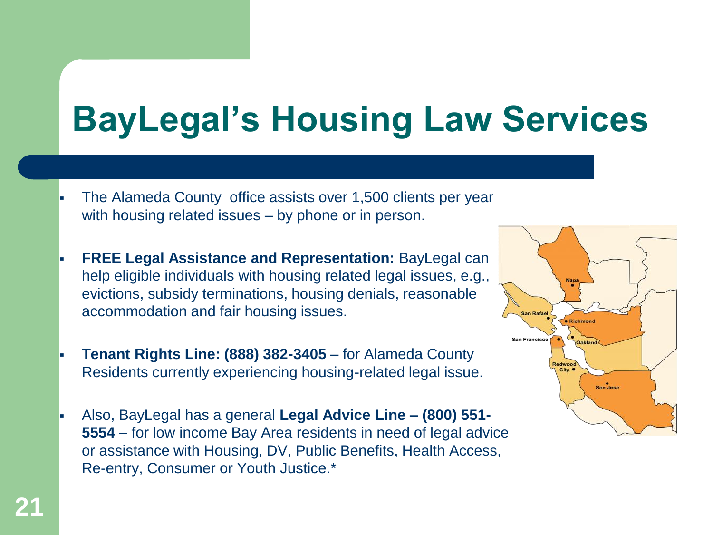# **BayLegal's Housing Law Services**

- The Alameda County office assists over 1,500 clients per year with housing related issues – by phone or in person.
- **FREE Legal Assistance and Representation:** BayLegal can help eligible individuals with housing related legal issues, e.g., evictions, subsidy terminations, housing denials, reasonable accommodation and fair housing issues.
- **Tenant Rights Line: (888) 382-3405** for Alameda County Residents currently experiencing housing-related legal issue.
- Also, BayLegal has a general **Legal Advice Line – (800) 551- 5554** – for low income Bay Area residents in need of legal advice or assistance with Housing, DV, Public Benefits, Health Access, Re-entry, Consumer or Youth Justice.\*

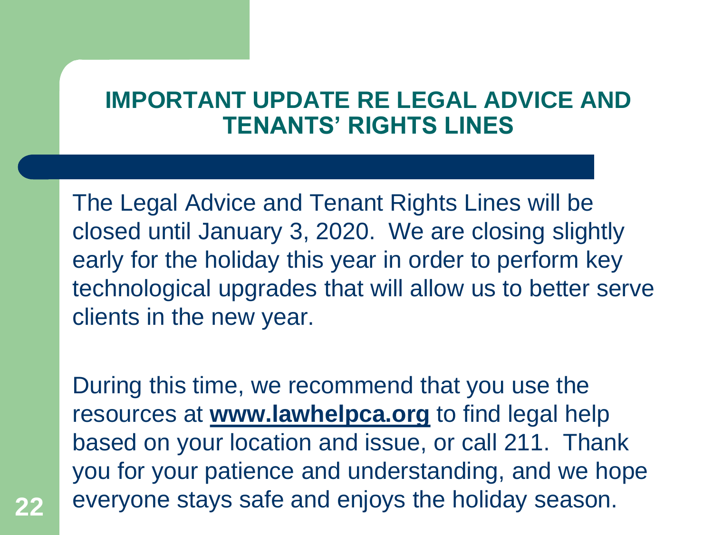#### **IMPORTANT UPDATE RE LEGAL ADVICE AND TENANTS' RIGHTS LINES**

The Legal Advice and Tenant Rights Lines will be closed until January 3, 2020. We are closing slightly early for the holiday this year in order to perform key technological upgrades that will allow us to better serve clients in the new year.

During this time, we recommend that you use the resources at **[www.lawhelpca.org](http://www.lawhelpca.org/)** to find legal help based on your location and issue, or call 211. Thank you for your patience and understanding, and we hope everyone stays safe and enjoys the holiday season. **22**